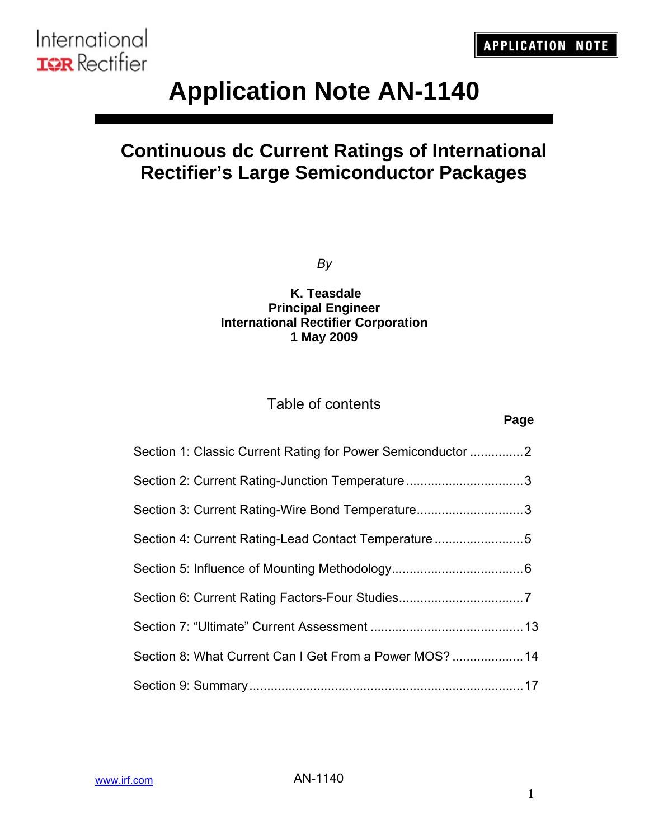# **Application Note AN-1140**

## **Continuous dc Current Ratings of International Rectifier's Large Semiconductor Packages**

*By* 

### **K. Teasdale Principal Engineer International Rectifier Corporation 1 May 2009**

### Table of contents

| Section 1: Classic Current Rating for Power Semiconductor 2 |  |
|-------------------------------------------------------------|--|
| Section 2: Current Rating-Junction Temperature3             |  |
| Section 3: Current Rating-Wire Bond Temperature3            |  |
| Section 4: Current Rating-Lead Contact Temperature5         |  |
|                                                             |  |
|                                                             |  |
|                                                             |  |
| Section 8: What Current Can I Get From a Power MOS?  14     |  |
|                                                             |  |

**Page**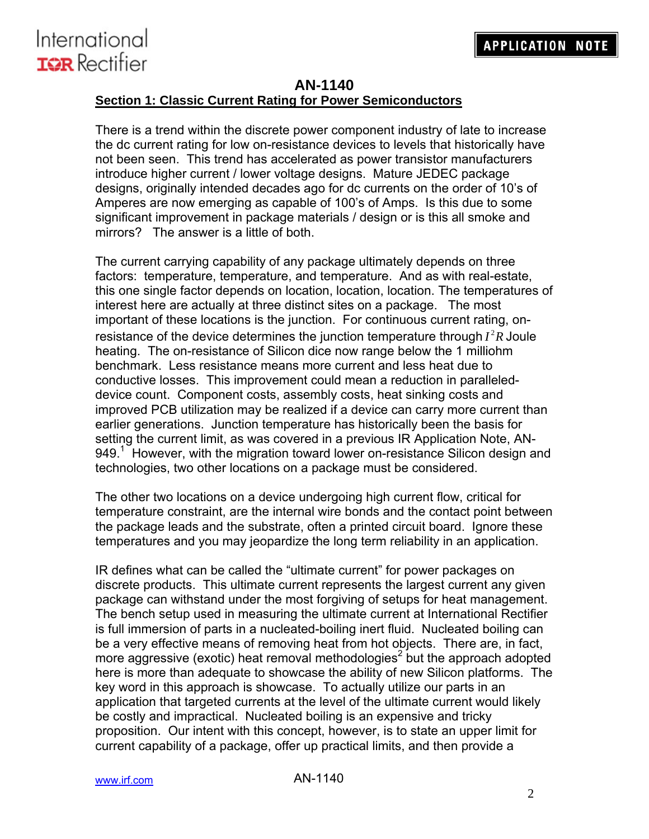

#### **AN-1140**

#### **Section 1: Classic Current Rating for Power Semiconductors**

There is a trend within the discrete power component industry of late to increase the dc current rating for low on-resistance devices to levels that historically have not been seen. This trend has accelerated as power transistor manufacturers introduce higher current / lower voltage designs. Mature JEDEC package designs, originally intended decades ago for dc currents on the order of 10's of Amperes are now emerging as capable of 100's of Amps. Is this due to some significant improvement in package materials / design or is this all smoke and mirrors? The answer is a little of both.

The current carrying capability of any package ultimately depends on three factors: temperature, temperature, and temperature. And as with real-estate, this one single factor depends on location, location, location. The temperatures of interest here are actually at three distinct sites on a package. The most important of these locations is the junction. For continuous current rating, onresistance of the device determines the junction temperature through  $I^2R$  Joule heating. The on-resistance of Silicon dice now range below the 1 milliohm benchmark. Less resistance means more current and less heat due to conductive losses. This improvement could mean a reduction in paralleleddevice count. Component costs, assembly costs, heat sinking costs and improved PCB utilization may be realized if a device can carry more current than earlier generations. Junction temperature has historically been the basis for setting the current limit, as was covered in a previous IR Application Note, AN-949.<sup>1</sup> However, with the migration toward lower on-resistance Silicon design and technologies, two other locations on a package must be considered.

The other two locations on a device undergoing high current flow, critical for temperature constraint, are the internal wire bonds and the contact point between the package leads and the substrate, often a printed circuit board. Ignore these temperatures and you may jeopardize the long term reliability in an application.

IR defines what can be called the "ultimate current" for power packages on discrete products. This ultimate current represents the largest current any given package can withstand under the most forgiving of setups for heat management. The bench setup used in measuring the ultimate current at International Rectifier is full immersion of parts in a nucleated-boiling inert fluid. Nucleated boiling can be a very effective means of removing heat from hot objects. There are, in fact, more aggressive (exotic) heat removal methodologies<sup>2</sup> but the approach adopted here is more than adequate to showcase the ability of new Silicon platforms. The key word in this approach is showcase. To actually utilize our parts in an application that targeted currents at the level of the ultimate current would likely be costly and impractical. Nucleated boiling is an expensive and tricky proposition. Our intent with this concept, however, is to state an upper limit for current capability of a package, offer up practical limits, and then provide a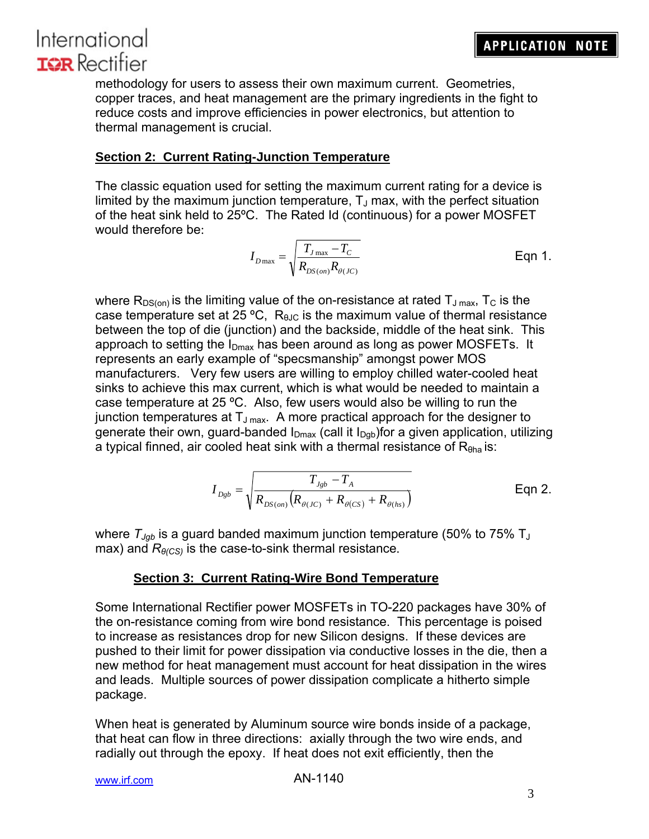methodology for users to assess their own maximum current. Geometries, copper traces, and heat management are the primary ingredients in the fight to reduce costs and improve efficiencies in power electronics, but attention to thermal management is crucial.

### **Section 2: Current Rating-Junction Temperature**

The classic equation used for setting the maximum current rating for a device is limited by the maximum junction temperature,  $T_{\text{J}}$  max, with the perfect situation of the heat sink held to 25ºC. The Rated Id (continuous) for a power MOSFET would therefore be:

$$
I_{D\max} = \sqrt{\frac{T_{J\max} - T_C}{R_{DS,on}R_{\theta(JC)}}}
$$
 Eqn 1.

where  $R_{DS(on)}$  is the limiting value of the on-resistance at rated  $T_{J\,max}$ ,  $T_{C}$  is the case temperature set at 25 °C,  $R<sub>BJC</sub>$  is the maximum value of thermal resistance between the top of die (junction) and the backside, middle of the heat sink. This approach to setting the  $I_{Dmax}$  has been around as long as power MOSFETs. It represents an early example of "specsmanship" amongst power MOS manufacturers. Very few users are willing to employ chilled water-cooled heat sinks to achieve this max current, which is what would be needed to maintain a case temperature at 25 ºC. Also, few users would also be willing to run the junction temperatures at  $T_{J\text{ max}}$ . A more practical approach for the designer to generate their own, guard-banded  $I_{Dmax}$  (call it  $I_{Dab}$ )for a given application, utilizing a typical finned, air cooled heat sink with a thermal resistance of  $R<sub>θha</sub>$  is:

$$
I_{Dgb} = \sqrt{\frac{T_{Jgb} - T_A}{R_{DS,on}\left(R_{\theta(JC)} + R_{\theta(CS)} + R_{\theta(hs)}\right)}}
$$
 Eqn 2.

where  $T_{Jgb}$  is a guard banded maximum junction temperature (50% to 75% T<sub>J</sub> max) and  $R_{\theta(CS)}$  is the case-to-sink thermal resistance.

#### **Section 3: Current Rating-Wire Bond Temperature**

Some International Rectifier power MOSFETs in TO-220 packages have 30% of the on-resistance coming from wire bond resistance. This percentage is poised to increase as resistances drop for new Silicon designs. If these devices are pushed to their limit for power dissipation via conductive losses in the die, then a new method for heat management must account for heat dissipation in the wires and leads. Multiple sources of power dissipation complicate a hitherto simple package.

When heat is generated by Aluminum source wire bonds inside of a package, that heat can flow in three directions: axially through the two wire ends, and radially out through the epoxy. If heat does not exit efficiently, then the

```
www.irf.com
```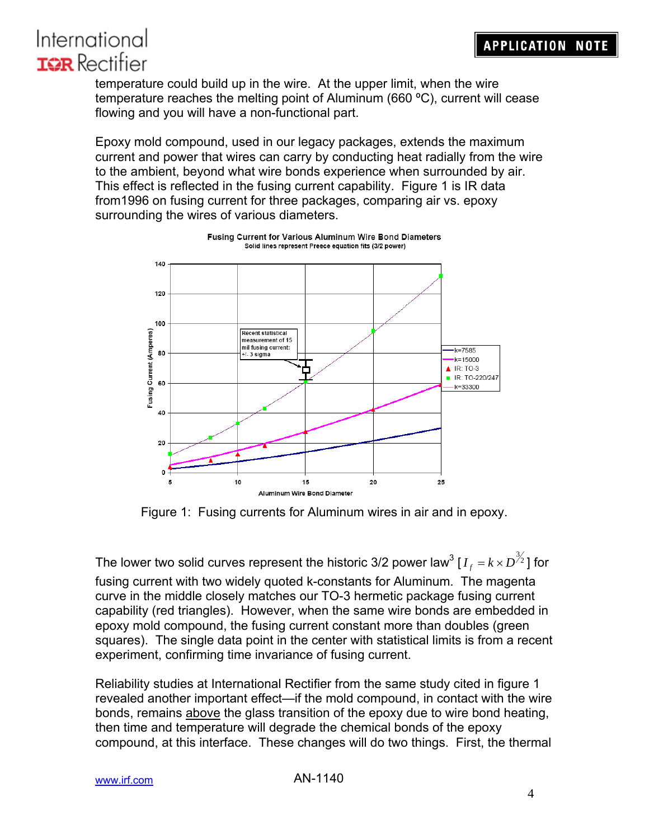temperature could build up in the wire. At the upper limit, when the wire temperature reaches the melting point of Aluminum (660 ºC), current will cease flowing and you will have a non-functional part.

Epoxy mold compound, used in our legacy packages, extends the maximum current and power that wires can carry by conducting heat radially from the wire to the ambient, beyond what wire bonds experience when surrounded by air. This effect is reflected in the fusing current capability. Figure 1 is IR data from1996 on fusing current for three packages, comparing air vs. epoxy surrounding the wires of various diameters.



Fusing Current for Various Aluminum Wire Bond Diameters Solid lines represent Preece equation fits (3/2 power)

Figure 1: Fusing currents for Aluminum wires in air and in epoxy.

The lower two solid curves represent the historic 3/2 power law $^3$  [  $I_{_f}$  =  $k\!\times\!D^{\!\frac{3}{2}}$ ] for

fusing current with two widely quoted k-constants for Aluminum. The magenta curve in the middle closely matches our TO-3 hermetic package fusing current capability (red triangles). However, when the same wire bonds are embedded in epoxy mold compound, the fusing current constant more than doubles (green squares). The single data point in the center with statistical limits is from a recent experiment, confirming time invariance of fusing current.

Reliability studies at International Rectifier from the same study cited in figure 1 revealed another important effect—if the mold compound, in contact with the wire bonds, remains above the glass transition of the epoxy due to wire bond heating, then time and temperature will degrade the chemical bonds of the epoxy compound, at this interface. These changes will do two things. First, the thermal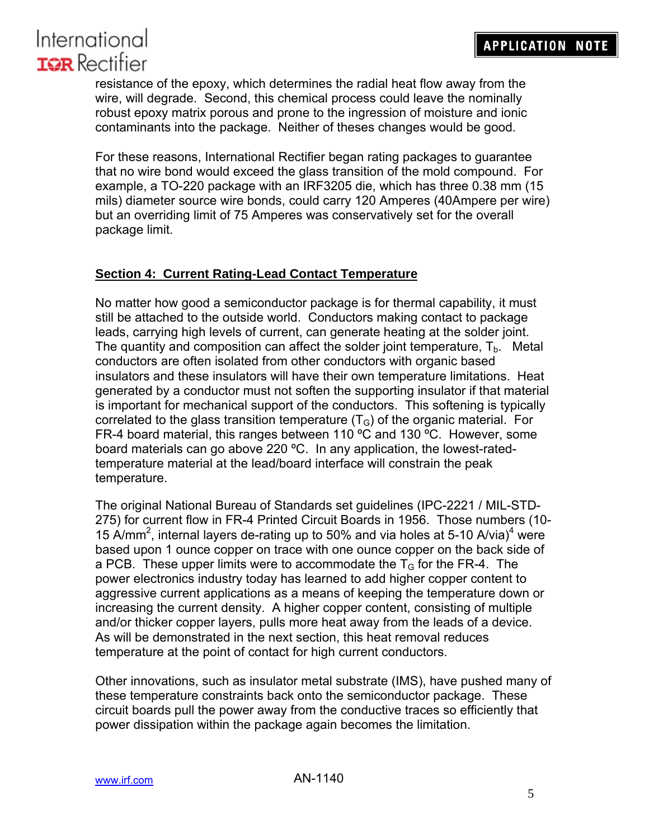resistance of the epoxy, which determines the radial heat flow away from the wire, will degrade. Second, this chemical process could leave the nominally robust epoxy matrix porous and prone to the ingression of moisture and ionic contaminants into the package. Neither of theses changes would be good.

For these reasons, International Rectifier began rating packages to guarantee that no wire bond would exceed the glass transition of the mold compound. For example, a TO-220 package with an IRF3205 die, which has three 0.38 mm (15 mils) diameter source wire bonds, could carry 120 Amperes (40Ampere per wire) but an overriding limit of 75 Amperes was conservatively set for the overall package limit.

### **Section 4: Current Rating-Lead Contact Temperature**

No matter how good a semiconductor package is for thermal capability, it must still be attached to the outside world. Conductors making contact to package leads, carrying high levels of current, can generate heating at the solder joint. The quantity and composition can affect the solder joint temperature,  $T_{\rm b}$ . Metal conductors are often isolated from other conductors with organic based insulators and these insulators will have their own temperature limitations. Heat generated by a conductor must not soften the supporting insulator if that material is important for mechanical support of the conductors. This softening is typically correlated to the glass transition temperature  $(T<sub>G</sub>)$  of the organic material. For FR-4 board material, this ranges between 110 ºC and 130 ºC. However, some board materials can go above 220 ºC. In any application, the lowest-ratedtemperature material at the lead/board interface will constrain the peak temperature.

The original National Bureau of Standards set guidelines (IPC-2221 / MIL-STD-275) for current flow in FR-4 Printed Circuit Boards in 1956. Those numbers (10- 15  $\text{A/mm}^2$ , internal layers de-rating up to 50% and via holes at 5-10 A/via)<sup>4</sup> were based upon 1 ounce copper on trace with one ounce copper on the back side of a PCB. These upper limits were to accommodate the  $T<sub>G</sub>$  for the FR-4. The power electronics industry today has learned to add higher copper content to aggressive current applications as a means of keeping the temperature down or increasing the current density. A higher copper content, consisting of multiple and/or thicker copper layers, pulls more heat away from the leads of a device. As will be demonstrated in the next section, this heat removal reduces temperature at the point of contact for high current conductors.

Other innovations, such as insulator metal substrate (IMS), have pushed many of these temperature constraints back onto the semiconductor package. These circuit boards pull the power away from the conductive traces so efficiently that power dissipation within the package again becomes the limitation.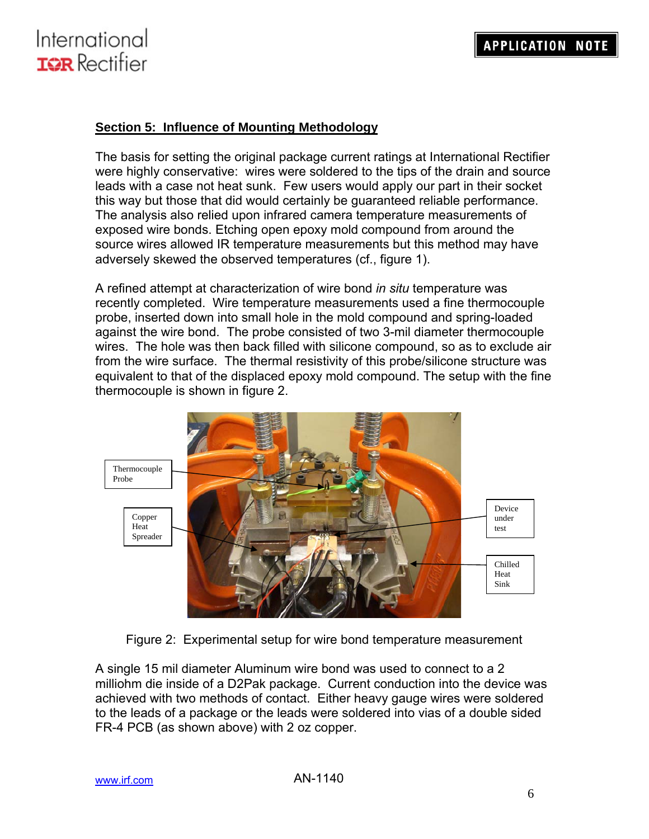

#### **Section 5: Influence of Mounting Methodology**

The basis for setting the original package current ratings at International Rectifier were highly conservative: wires were soldered to the tips of the drain and source leads with a case not heat sunk. Few users would apply our part in their socket this way but those that did would certainly be guaranteed reliable performance. The analysis also relied upon infrared camera temperature measurements of exposed wire bonds. Etching open epoxy mold compound from around the source wires allowed IR temperature measurements but this method may have adversely skewed the observed temperatures (cf., figure 1).

A refined attempt at characterization of wire bond *in situ* temperature was recently completed. Wire temperature measurements used a fine thermocouple probe, inserted down into small hole in the mold compound and spring-loaded against the wire bond. The probe consisted of two 3-mil diameter thermocouple wires. The hole was then back filled with silicone compound, so as to exclude air from the wire surface. The thermal resistivity of this probe/silicone structure was equivalent to that of the displaced epoxy mold compound. The setup with the fine thermocouple is shown in figure 2.



Figure 2: Experimental setup for wire bond temperature measurement

A single 15 mil diameter Aluminum wire bond was used to connect to a 2 milliohm die inside of a D2Pak package. Current conduction into the device was achieved with two methods of contact. Either heavy gauge wires were soldered to the leads of a package or the leads were soldered into vias of a double sided FR-4 PCB (as shown above) with 2 oz copper.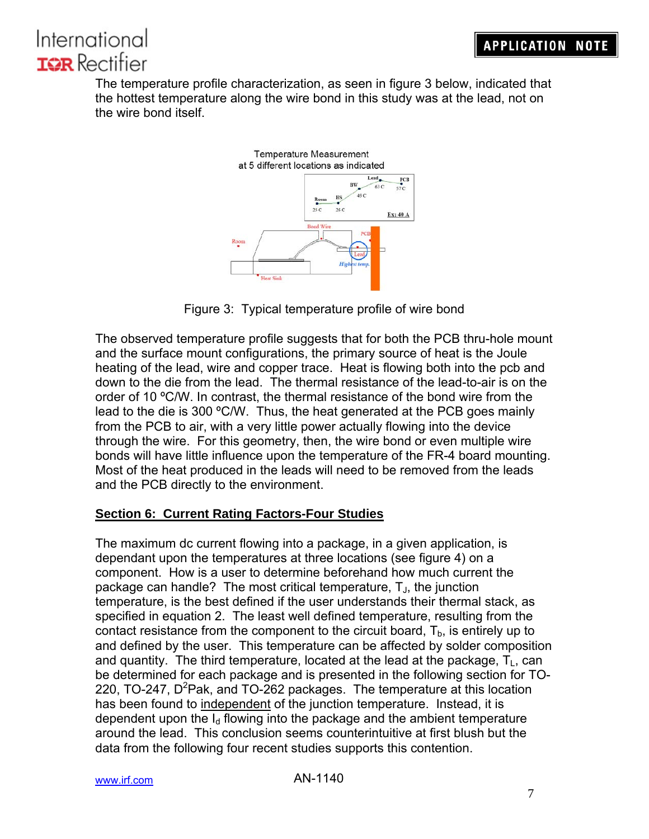The temperature profile characterization, as seen in figure 3 below, indicated that the hottest temperature along the wire bond in this study was at the lead, not on the wire bond itself.



Figure 3: Typical temperature profile of wire bond

The observed temperature profile suggests that for both the PCB thru-hole mount and the surface mount configurations, the primary source of heat is the Joule heating of the lead, wire and copper trace. Heat is flowing both into the pcb and down to the die from the lead. The thermal resistance of the lead-to-air is on the order of 10 ºC/W. In contrast, the thermal resistance of the bond wire from the lead to the die is 300 ºC/W. Thus, the heat generated at the PCB goes mainly from the PCB to air, with a very little power actually flowing into the device through the wire. For this geometry, then, the wire bond or even multiple wire bonds will have little influence upon the temperature of the FR-4 board mounting. Most of the heat produced in the leads will need to be removed from the leads and the PCB directly to the environment.

### **Section 6: Current Rating Factors-Four Studies**

The maximum dc current flowing into a package, in a given application, is dependant upon the temperatures at three locations (see figure 4) on a component. How is a user to determine beforehand how much current the package can handle? The most critical temperature,  $T_{J}$ , the junction temperature, is the best defined if the user understands their thermal stack, as specified in equation 2. The least well defined temperature, resulting from the contact resistance from the component to the circuit board,  $T<sub>b</sub>$ , is entirely up to and defined by the user. This temperature can be affected by solder composition and quantity. The third temperature, located at the lead at the package,  $T_{\text{L}}$ , can be determined for each package and is presented in the following section for TO-220, TO-247, D<sup>2</sup>Pak, and TO-262 packages. The temperature at this location has been found to independent of the junction temperature. Instead, it is dependent upon the  $I<sub>d</sub>$  flowing into the package and the ambient temperature around the lead. This conclusion seems counterintuitive at first blush but the data from the following four recent studies supports this contention.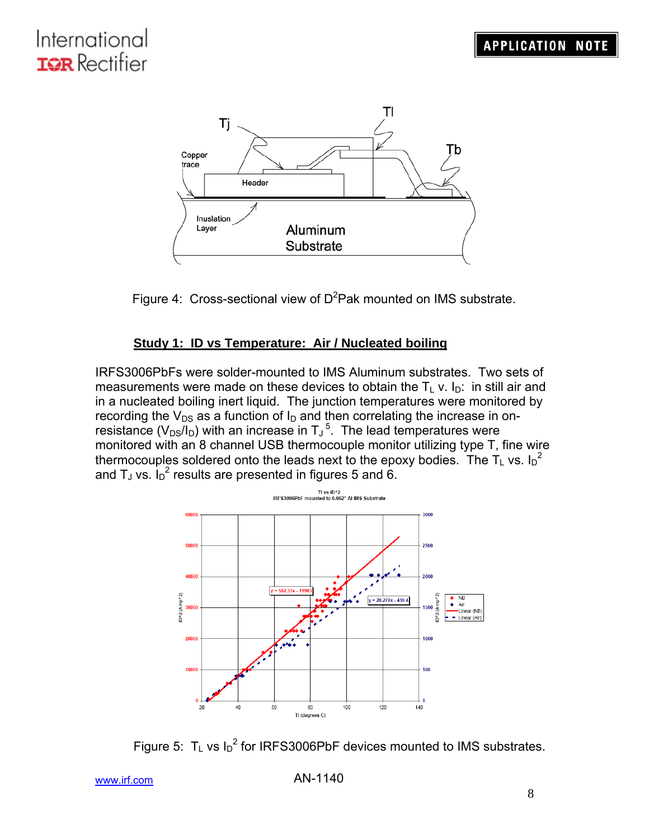



### **Study 1: ID vs Temperature: Air / Nucleated boiling**

IRFS3006PbFs were solder-mounted to IMS Aluminum substrates. Two sets of measurements were made on these devices to obtain the  $T_L$  v.  $I_D$ : in still air and in a nucleated boiling inert liquid. The junction temperatures were monitored by recording the  $V_{DS}$  as a function of  $I_D$  and then correlating the increase in onresistance ( $V_{DS}/I_D$ ) with an increase in  $T_J^5$ . The lead temperatures were monitored with an 8 channel USB thermocouple monitor utilizing type T, fine wire thermocouples soldered onto the leads next to the epoxy bodies. The T<sub>L</sub> vs. I<sub>D</sub><sup>2</sup> and T<sub>J</sub> vs.  $I_D^2$  results are presented in figures 5 and 6.



Figure 5:  $T_L$  vs  $I_D^2$  for IRFS3006PbF devices mounted to IMS substrates.

```
www.irf.com
```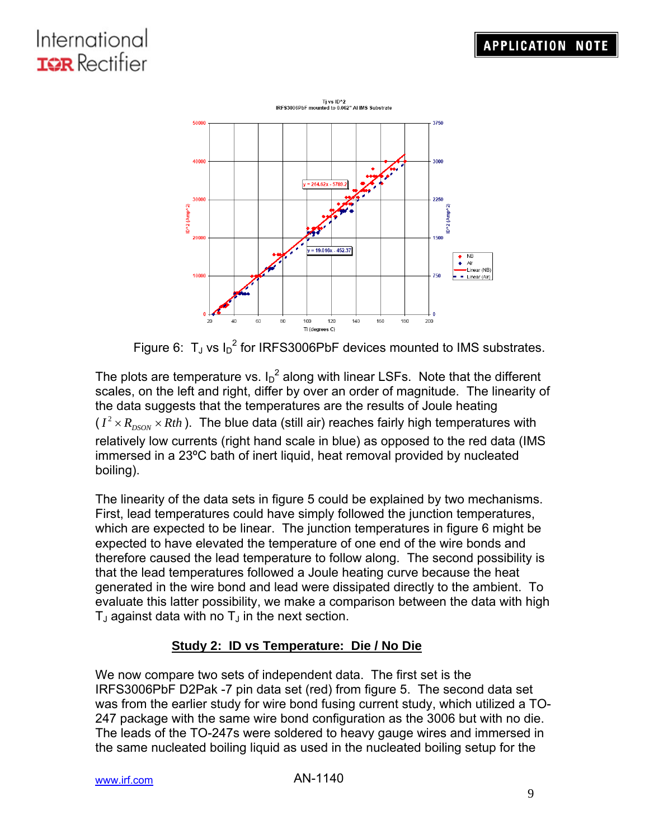

Figure 6:  $T_J$  vs  $I_D^2$  for IRFS3006PbF devices mounted to IMS substrates.

The plots are temperature vs.  $I_D^2$  along with linear LSFs. Note that the different scales, on the left and right, differ by over an order of magnitude. The linearity of the data suggests that the temperatures are the results of Joule heating  $(I^2 \times R_{DSON} \times Rth$ ). The blue data (still air) reaches fairly high temperatures with relatively low currents (right hand scale in blue) as opposed to the red data (IMS immersed in a 23ºC bath of inert liquid, heat removal provided by nucleated boiling).

The linearity of the data sets in figure 5 could be explained by two mechanisms. First, lead temperatures could have simply followed the junction temperatures, which are expected to be linear. The junction temperatures in figure 6 might be expected to have elevated the temperature of one end of the wire bonds and therefore caused the lead temperature to follow along. The second possibility is that the lead temperatures followed a Joule heating curve because the heat generated in the wire bond and lead were dissipated directly to the ambient. To evaluate this latter possibility, we make a comparison between the data with high  $T_J$  against data with no  $T_J$  in the next section.

### **Study 2: ID vs Temperature: Die / No Die**

We now compare two sets of independent data. The first set is the IRFS3006PbF D2Pak -7 pin data set (red) from figure 5. The second data set was from the earlier study for wire bond fusing current study, which utilized a TO-247 package with the same wire bond configuration as the 3006 but with no die. The leads of the TO-247s were soldered to heavy gauge wires and immersed in the same nucleated boiling liquid as used in the nucleated boiling setup for the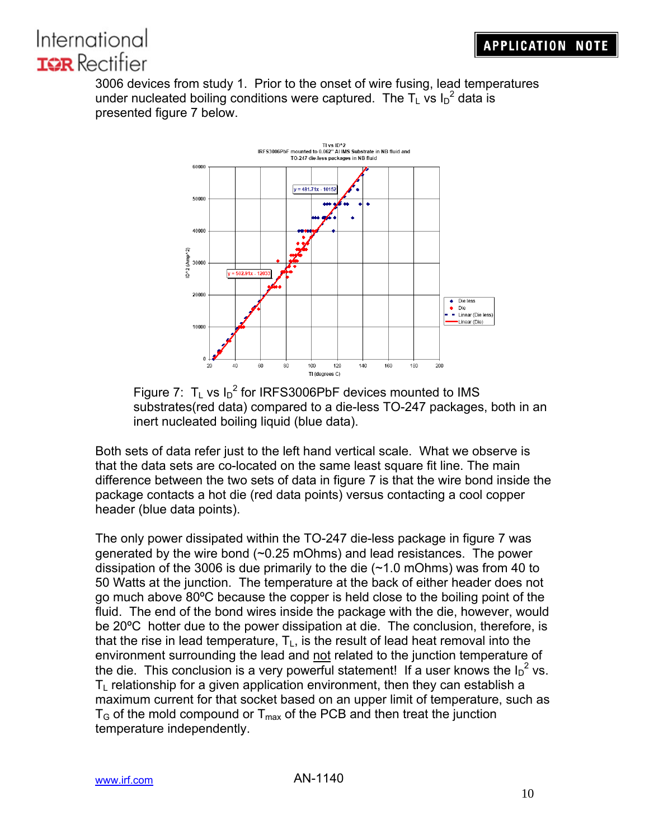3006 devices from study 1. Prior to the onset of wire fusing, lead temperatures under nucleated boiling conditions were captured. The  $T_L$  vs  $I_D^2$  data is presented figure 7 below.



Figure 7:  $T_L$  vs  $I_D^2$  for IRFS3006PbF devices mounted to IMS substrates(red data) compared to a die-less TO-247 packages, both in an inert nucleated boiling liquid (blue data).

Both sets of data refer just to the left hand vertical scale. What we observe is that the data sets are co-located on the same least square fit line. The main difference between the two sets of data in figure 7 is that the wire bond inside the package contacts a hot die (red data points) versus contacting a cool copper header (blue data points).

The only power dissipated within the TO-247 die-less package in figure 7 was generated by the wire bond (~0.25 mOhms) and lead resistances. The power dissipation of the 3006 is due primarily to the die (~1.0 mOhms) was from 40 to 50 Watts at the junction. The temperature at the back of either header does not go much above 80ºC because the copper is held close to the boiling point of the fluid. The end of the bond wires inside the package with the die, however, would be 20ºC hotter due to the power dissipation at die. The conclusion, therefore, is that the rise in lead temperature,  $T_L$ , is the result of lead heat removal into the environment surrounding the lead and not related to the junction temperature of the die. This conclusion is a very powerful statement! If a user knows the  $I_D^2$  vs.  $T<sub>L</sub>$  relationship for a given application environment, then they can establish a maximum current for that socket based on an upper limit of temperature, such as  $T<sub>G</sub>$  of the mold compound or  $T<sub>max</sub>$  of the PCB and then treat the junction temperature independently.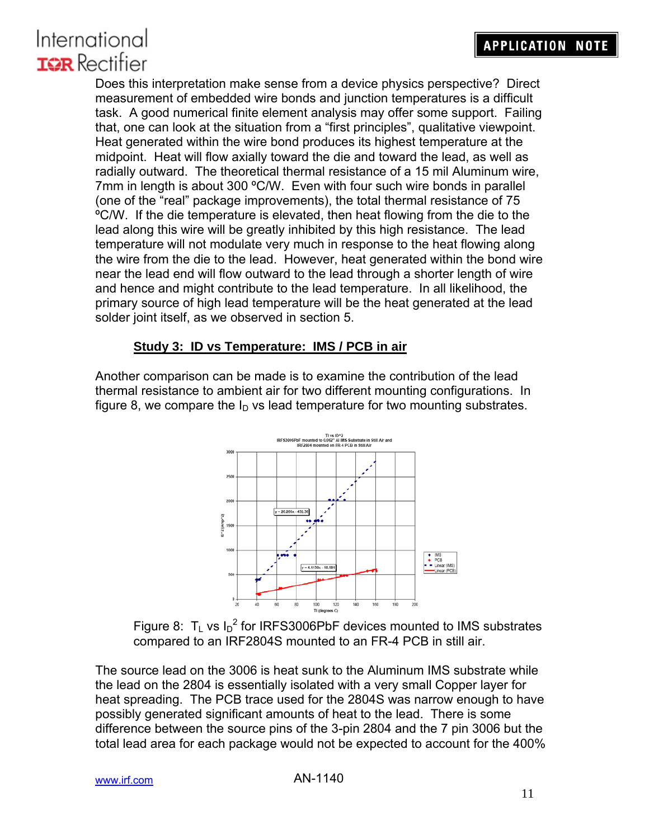Does this interpretation make sense from a device physics perspective? Direct measurement of embedded wire bonds and junction temperatures is a difficult task. A good numerical finite element analysis may offer some support. Failing that, one can look at the situation from a "first principles", qualitative viewpoint. Heat generated within the wire bond produces its highest temperature at the midpoint. Heat will flow axially toward the die and toward the lead, as well as radially outward. The theoretical thermal resistance of a 15 mil Aluminum wire, 7mm in length is about 300 °C/W. Even with four such wire bonds in parallel (one of the "real" package improvements), the total thermal resistance of 75 ºC/W. If the die temperature is elevated, then heat flowing from the die to the lead along this wire will be greatly inhibited by this high resistance. The lead temperature will not modulate very much in response to the heat flowing along the wire from the die to the lead. However, heat generated within the bond wire near the lead end will flow outward to the lead through a shorter length of wire and hence and might contribute to the lead temperature. In all likelihood, the primary source of high lead temperature will be the heat generated at the lead solder joint itself, as we observed in section 5.

### **Study 3: ID vs Temperature: IMS / PCB in air**

Another comparison can be made is to examine the contribution of the lead thermal resistance to ambient air for two different mounting configurations. In figure 8, we compare the  $I<sub>D</sub>$  vs lead temperature for two mounting substrates.



Figure 8:  $T_L$  vs I<sub>D</sub><sup>2</sup> for IRFS3006PbF devices mounted to IMS substrates compared to an IRF2804S mounted to an FR-4 PCB in still air.

The source lead on the 3006 is heat sunk to the Aluminum IMS substrate while the lead on the 2804 is essentially isolated with a very small Copper layer for heat spreading. The PCB trace used for the 2804S was narrow enough to have possibly generated significant amounts of heat to the lead. There is some difference between the source pins of the 3-pin 2804 and the 7 pin 3006 but the total lead area for each package would not be expected to account for the 400%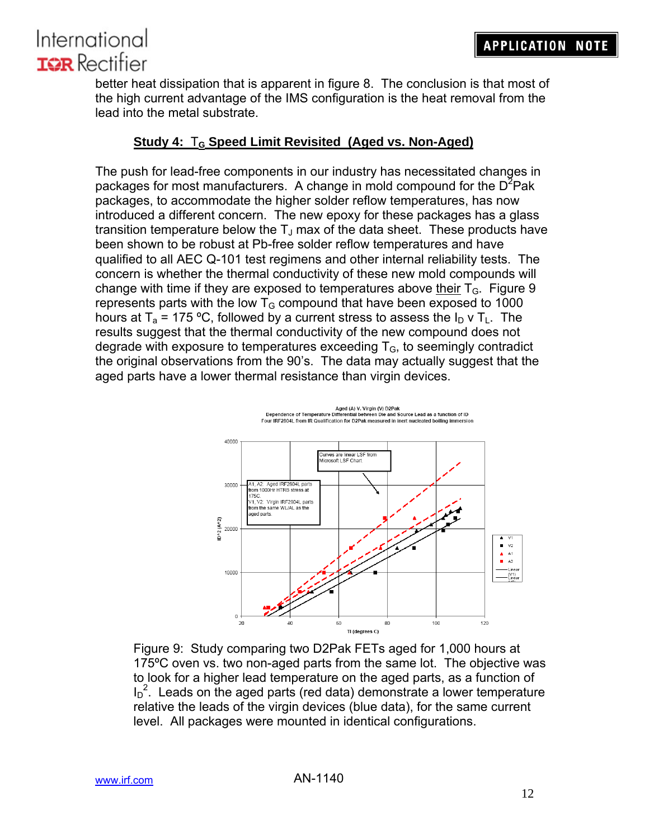better heat dissipation that is apparent in figure 8. The conclusion is that most of the high current advantage of the IMS configuration is the heat removal from the lead into the metal substrate.

### **Study 4:** T**G Speed Limit Revisited (Aged vs. Non-Aged)**

The push for lead-free components in our industry has necessitated changes in packages for most manufacturers. A change in mold compound for the  $D^2$ Pak packages, to accommodate the higher solder reflow temperatures, has now introduced a different concern. The new epoxy for these packages has a glass transition temperature below the  $T_J$  max of the data sheet. These products have been shown to be robust at Pb-free solder reflow temperatures and have qualified to all AEC Q-101 test regimens and other internal reliability tests. The concern is whether the thermal conductivity of these new mold compounds will change with time if they are exposed to temperatures above their  $T_{\text{G}}$ . Figure 9 represents parts with the low  $T<sub>G</sub>$  compound that have been exposed to 1000 hours at  $T_a$  = 175 °C, followed by a current stress to assess the  $I_D$  v  $T_L$ . The results suggest that the thermal conductivity of the new compound does not degrade with exposure to temperatures exceeding  $T<sub>G</sub>$ , to seemingly contradict the original observations from the 90's. The data may actually suggest that the aged parts have a lower thermal resistance than virgin devices.



Tidegrees c)<br>Figure 9: Study comparing two D2Pak FETs aged for 1,000 hours at 175ºC oven vs. two non-aged parts from the same lot. The objective was to look for a higher lead temperature on the aged parts, as a function of  $I_D^2$ . Leads on the aged parts (red data) demonstrate a lower temperature relative the leads of the virgin devices (blue data), for the same current level. All packages were mounted in identical configurations.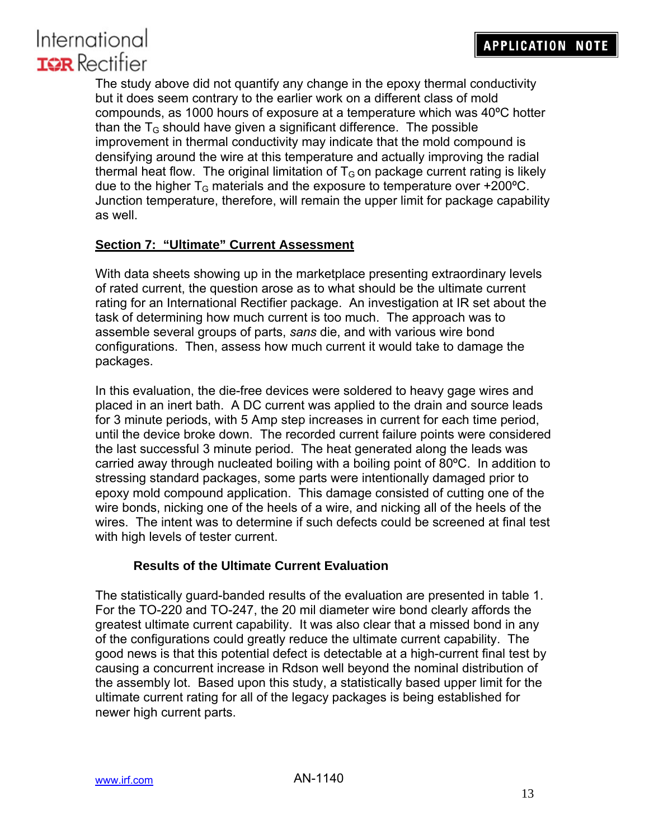The study above did not quantify any change in the epoxy thermal conductivity but it does seem contrary to the earlier work on a different class of mold compounds, as 1000 hours of exposure at a temperature which was 40ºC hotter than the  $T<sub>G</sub>$  should have given a significant difference. The possible improvement in thermal conductivity may indicate that the mold compound is densifying around the wire at this temperature and actually improving the radial thermal heat flow. The original limitation of  $T<sub>G</sub>$  on package current rating is likely due to the higher  $T_G$  materials and the exposure to temperature over +200 $^{\circ}$ C. Junction temperature, therefore, will remain the upper limit for package capability as well.

### **Section 7: "Ultimate" Current Assessment**

With data sheets showing up in the marketplace presenting extraordinary levels of rated current, the question arose as to what should be the ultimate current rating for an International Rectifier package. An investigation at IR set about the task of determining how much current is too much. The approach was to assemble several groups of parts, *sans* die, and with various wire bond configurations. Then, assess how much current it would take to damage the packages.

In this evaluation, the die-free devices were soldered to heavy gage wires and placed in an inert bath. A DC current was applied to the drain and source leads for 3 minute periods, with 5 Amp step increases in current for each time period, until the device broke down. The recorded current failure points were considered the last successful 3 minute period. The heat generated along the leads was carried away through nucleated boiling with a boiling point of 80ºC. In addition to stressing standard packages, some parts were intentionally damaged prior to epoxy mold compound application. This damage consisted of cutting one of the wire bonds, nicking one of the heels of a wire, and nicking all of the heels of the wires. The intent was to determine if such defects could be screened at final test with high levels of tester current.

### **Results of the Ultimate Current Evaluation**

The statistically guard-banded results of the evaluation are presented in table 1. For the TO-220 and TO-247, the 20 mil diameter wire bond clearly affords the greatest ultimate current capability. It was also clear that a missed bond in any of the configurations could greatly reduce the ultimate current capability. The good news is that this potential defect is detectable at a high-current final test by causing a concurrent increase in Rdson well beyond the nominal distribution of the assembly lot. Based upon this study, a statistically based upper limit for the ultimate current rating for all of the legacy packages is being established for newer high current parts.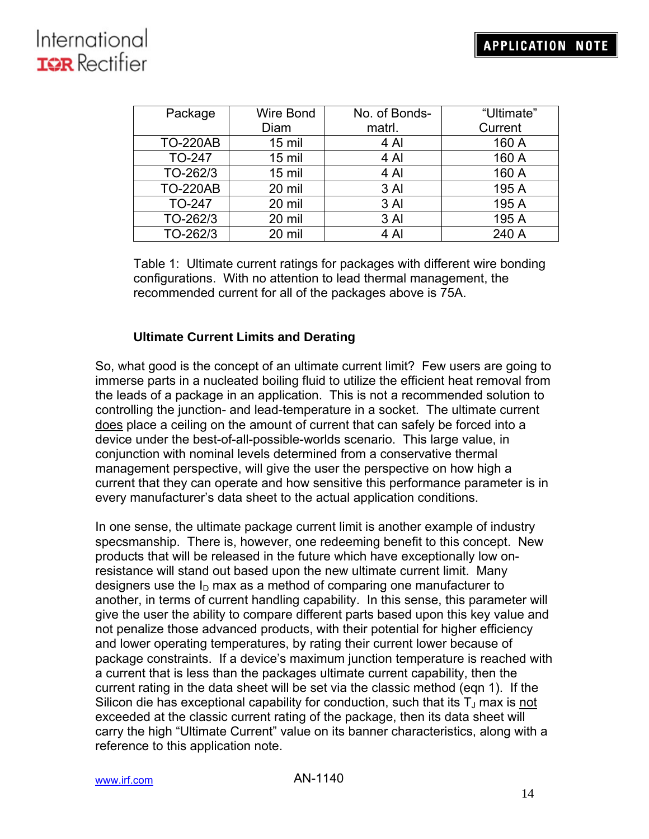| Package         | Wire Bond | No. of Bonds- | "Ultimate" |
|-----------------|-----------|---------------|------------|
|                 | Diam      | matrl.        | Current    |
| <b>TO-220AB</b> | $15$ mil  | 4 Al          | 160 A      |
| <b>TO-247</b>   | $15$ mil  | 4 Al          | 160 A      |
| TO-262/3        | $15$ mil  | 4 Al          | 160 A      |
| <b>TO-220AB</b> | 20 mil    | 3 Al          | 195 A      |
| <b>TO-247</b>   | 20 mil    | 3 Al          | 195 A      |
| TO-262/3        | 20 mil    | 3 Al          | 195 A      |
| TO-262/3        | 20 mil    | 4 Al          | 240 A      |

 Table 1: Ultimate current ratings for packages with different wire bonding configurations. With no attention to lead thermal management, the recommended current for all of the packages above is 75A.

### **Ultimate Current Limits and Derating**

So, what good is the concept of an ultimate current limit? Few users are going to immerse parts in a nucleated boiling fluid to utilize the efficient heat removal from the leads of a package in an application. This is not a recommended solution to controlling the junction- and lead-temperature in a socket. The ultimate current does place a ceiling on the amount of current that can safely be forced into a device under the best-of-all-possible-worlds scenario. This large value, in conjunction with nominal levels determined from a conservative thermal management perspective, will give the user the perspective on how high a current that they can operate and how sensitive this performance parameter is in every manufacturer's data sheet to the actual application conditions.

In one sense, the ultimate package current limit is another example of industry specsmanship. There is, however, one redeeming benefit to this concept. New products that will be released in the future which have exceptionally low onresistance will stand out based upon the new ultimate current limit. Many designers use the  $I_D$  max as a method of comparing one manufacturer to another, in terms of current handling capability. In this sense, this parameter will give the user the ability to compare different parts based upon this key value and not penalize those advanced products, with their potential for higher efficiency and lower operating temperatures, by rating their current lower because of package constraints. If a device's maximum junction temperature is reached with a current that is less than the packages ultimate current capability, then the current rating in the data sheet will be set via the classic method (eqn 1). If the Silicon die has exceptional capability for conduction, such that its  $T_J$  max is not exceeded at the classic current rating of the package, then its data sheet will carry the high "Ultimate Current" value on its banner characteristics, along with a reference to this application note.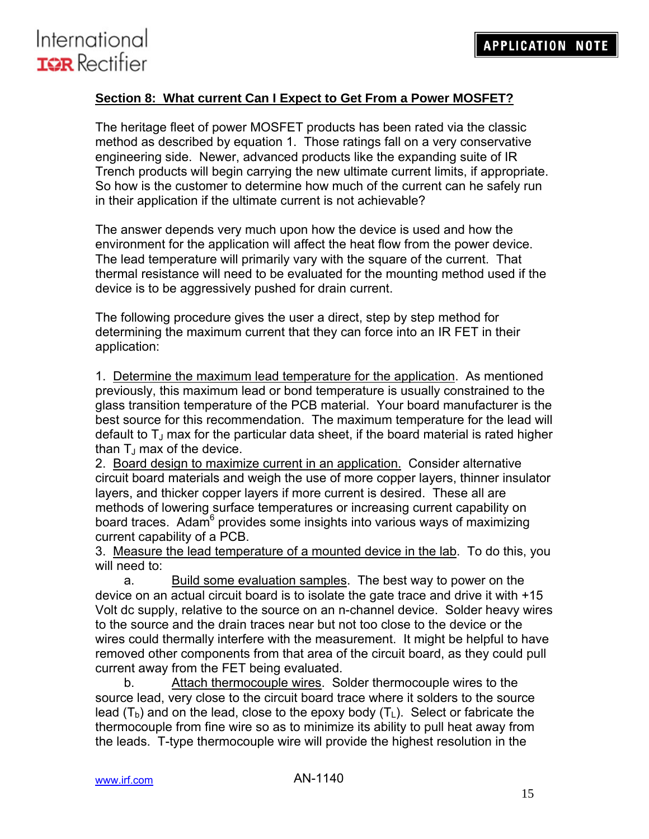

### **Section 8: What current Can I Expect to Get From a Power MOSFET?**

The heritage fleet of power MOSFET products has been rated via the classic method as described by equation 1. Those ratings fall on a very conservative engineering side. Newer, advanced products like the expanding suite of IR Trench products will begin carrying the new ultimate current limits, if appropriate. So how is the customer to determine how much of the current can he safely run in their application if the ultimate current is not achievable?

The answer depends very much upon how the device is used and how the environment for the application will affect the heat flow from the power device. The lead temperature will primarily vary with the square of the current. That thermal resistance will need to be evaluated for the mounting method used if the device is to be aggressively pushed for drain current.

The following procedure gives the user a direct, step by step method for determining the maximum current that they can force into an IR FET in their application:

1. Determine the maximum lead temperature for the application. As mentioned previously, this maximum lead or bond temperature is usually constrained to the glass transition temperature of the PCB material. Your board manufacturer is the best source for this recommendation. The maximum temperature for the lead will default to  $T_J$  max for the particular data sheet, if the board material is rated higher than  $T_1$  max of the device.

2. Board design to maximize current in an application. Consider alternative circuit board materials and weigh the use of more copper layers, thinner insulator layers, and thicker copper layers if more current is desired. These all are methods of lowering surface temperatures or increasing current capability on board traces. Adam<sup>6</sup> provides some insights into various ways of maximizing current capability of a PCB.

3. Measure the lead temperature of a mounted device in the lab. To do this, you will need to:

a. Build some evaluation samples. The best way to power on the device on an actual circuit board is to isolate the gate trace and drive it with +15 Volt dc supply, relative to the source on an n-channel device. Solder heavy wires to the source and the drain traces near but not too close to the device or the wires could thermally interfere with the measurement. It might be helpful to have removed other components from that area of the circuit board, as they could pull current away from the FET being evaluated.

b. Attach thermocouple wires. Solder thermocouple wires to the source lead, very close to the circuit board trace where it solders to the source lead  $(T_b)$  and on the lead, close to the epoxy body  $(T<sub>L</sub>)$ . Select or fabricate the thermocouple from fine wire so as to minimize its ability to pull heat away from the leads. T-type thermocouple wire will provide the highest resolution in the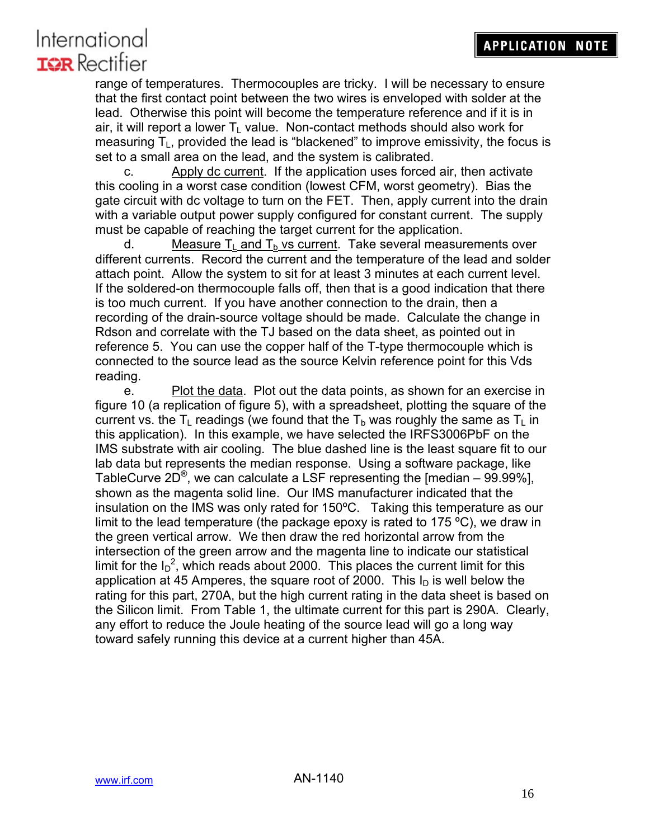range of temperatures. Thermocouples are tricky. I will be necessary to ensure that the first contact point between the two wires is enveloped with solder at the lead. Otherwise this point will become the temperature reference and if it is in air, it will report a lower  $T<sub>1</sub>$  value. Non-contact methods should also work for measuring  $T_{\text{L}}$ , provided the lead is "blackened" to improve emissivity, the focus is set to a small area on the lead, and the system is calibrated.

c. Apply dc current. If the application uses forced air, then activate this cooling in a worst case condition (lowest CFM, worst geometry). Bias the gate circuit with dc voltage to turn on the FET. Then, apply current into the drain with a variable output power supply configured for constant current. The supply must be capable of reaching the target current for the application.

d. Measure  $T_L$  and  $T_b$  vs current. Take several measurements over different currents. Record the current and the temperature of the lead and solder attach point. Allow the system to sit for at least 3 minutes at each current level. If the soldered-on thermocouple falls off, then that is a good indication that there is too much current. If you have another connection to the drain, then a recording of the drain-source voltage should be made. Calculate the change in Rdson and correlate with the TJ based on the data sheet, as pointed out in reference 5. You can use the copper half of the T-type thermocouple which is connected to the source lead as the source Kelvin reference point for this Vds reading.

e. Plot the data. Plot out the data points, as shown for an exercise in figure 10 (a replication of figure 5), with a spreadsheet, plotting the square of the current vs. the  $T_{\perp}$  readings (we found that the  $T_{\rm b}$  was roughly the same as  $T_{\perp}$  in this application). In this example, we have selected the IRFS3006PbF on the IMS substrate with air cooling. The blue dashed line is the least square fit to our lab data but represents the median response. Using a software package, like TableCurve  $2D^{\circledast}$ , we can calculate a LSF representing the [median – 99.99%], shown as the magenta solid line. Our IMS manufacturer indicated that the insulation on the IMS was only rated for 150ºC. Taking this temperature as our limit to the lead temperature (the package epoxy is rated to 175  $\degree$ C), we draw in the green vertical arrow. We then draw the red horizontal arrow from the intersection of the green arrow and the magenta line to indicate our statistical limit for the  $I_D^2$ , which reads about 2000. This places the current limit for this application at 45 Amperes, the square root of 2000. This  $I_D$  is well below the rating for this part, 270A, but the high current rating in the data sheet is based on the Silicon limit. From Table 1, the ultimate current for this part is 290A. Clearly, any effort to reduce the Joule heating of the source lead will go a long way toward safely running this device at a current higher than 45A.